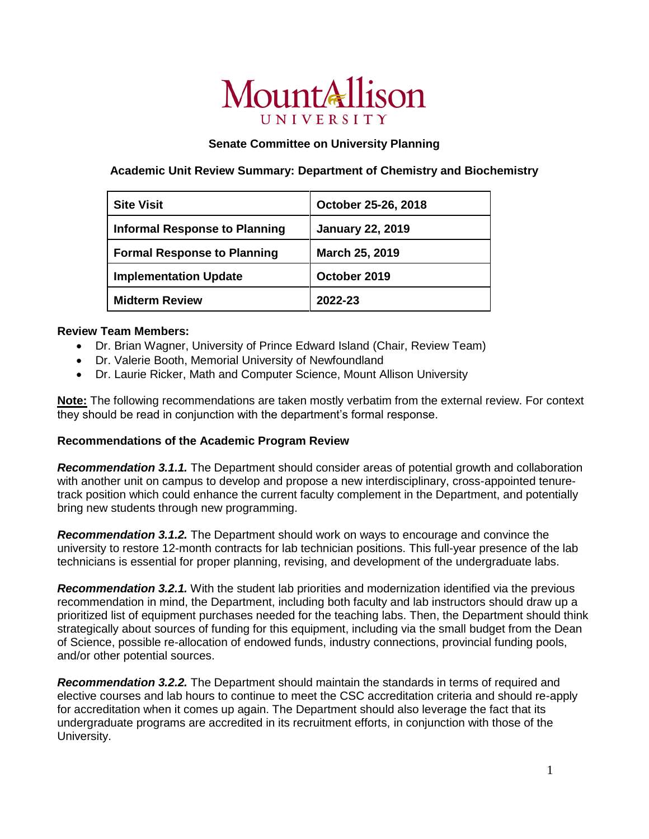# MountAllison UNIVERSITY

## **Senate Committee on University Planning**

### **Academic Unit Review Summary: Department of Chemistry and Biochemistry**

| <b>Site Visit</b>                    | October 25-26, 2018     |
|--------------------------------------|-------------------------|
| <b>Informal Response to Planning</b> | <b>January 22, 2019</b> |
| <b>Formal Response to Planning</b>   | March 25, 2019          |
| <b>Implementation Update</b>         | October 2019            |
| <b>Midterm Review</b>                | 2022-23                 |

#### **Review Team Members:**

- Dr. Brian Wagner, University of Prince Edward Island (Chair, Review Team)
- Dr. Valerie Booth, Memorial University of Newfoundland
- Dr. Laurie Ricker, Math and Computer Science, Mount Allison University

**Note:** The following recommendations are taken mostly verbatim from the external review. For context they should be read in conjunction with the department's formal response.

### **Recommendations of the Academic Program Review**

*Recommendation 3.1.1.* The Department should consider areas of potential growth and collaboration with another unit on campus to develop and propose a new interdisciplinary, cross-appointed tenuretrack position which could enhance the current faculty complement in the Department, and potentially bring new students through new programming.

*Recommendation 3.1.2.* The Department should work on ways to encourage and convince the university to restore 12-month contracts for lab technician positions. This full-year presence of the lab technicians is essential for proper planning, revising, and development of the undergraduate labs.

*Recommendation 3.2.1.* With the student lab priorities and modernization identified via the previous recommendation in mind, the Department, including both faculty and lab instructors should draw up a prioritized list of equipment purchases needed for the teaching labs. Then, the Department should think strategically about sources of funding for this equipment, including via the small budget from the Dean of Science, possible re-allocation of endowed funds, industry connections, provincial funding pools, and/or other potential sources.

*Recommendation 3.2.2.* The Department should maintain the standards in terms of required and elective courses and lab hours to continue to meet the CSC accreditation criteria and should re-apply for accreditation when it comes up again. The Department should also leverage the fact that its undergraduate programs are accredited in its recruitment efforts, in conjunction with those of the University.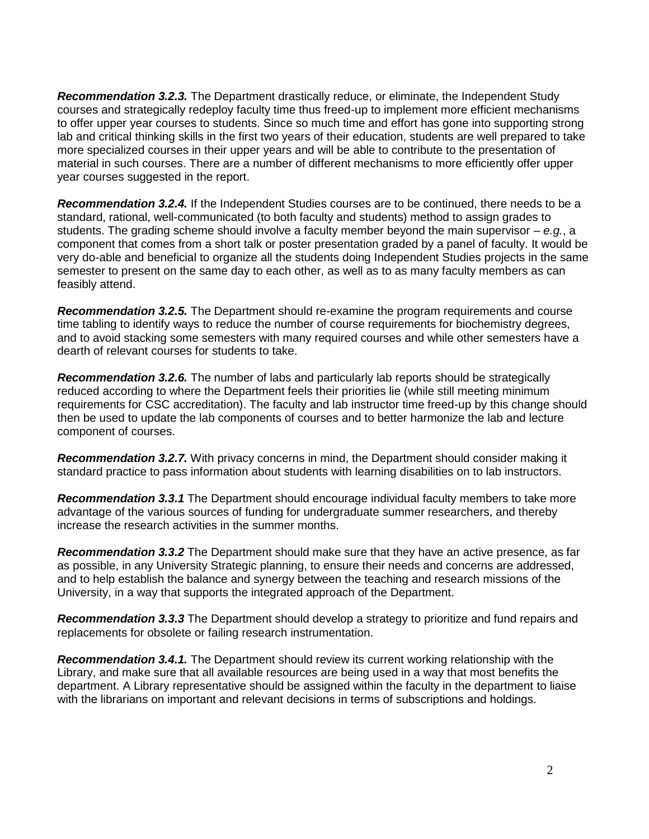*Recommendation 3.2.3.* The Department drastically reduce, or eliminate, the Independent Study courses and strategically redeploy faculty time thus freed-up to implement more efficient mechanisms to offer upper year courses to students. Since so much time and effort has gone into supporting strong lab and critical thinking skills in the first two years of their education, students are well prepared to take more specialized courses in their upper years and will be able to contribute to the presentation of material in such courses. There are a number of different mechanisms to more efficiently offer upper year courses suggested in the report.

*Recommendation 3.2.4.* If the Independent Studies courses are to be continued, there needs to be a standard, rational, well-communicated (to both faculty and students) method to assign grades to students. The grading scheme should involve a faculty member beyond the main supervisor – *e.g.*, a component that comes from a short talk or poster presentation graded by a panel of faculty. It would be very do-able and beneficial to organize all the students doing Independent Studies projects in the same semester to present on the same day to each other, as well as to as many faculty members as can feasibly attend.

*Recommendation 3.2.5.* The Department should re-examine the program requirements and course time tabling to identify ways to reduce the number of course requirements for biochemistry degrees, and to avoid stacking some semesters with many required courses and while other semesters have a dearth of relevant courses for students to take.

*Recommendation 3.2.6.* The number of labs and particularly lab reports should be strategically reduced according to where the Department feels their priorities lie (while still meeting minimum requirements for CSC accreditation). The faculty and lab instructor time freed-up by this change should then be used to update the lab components of courses and to better harmonize the lab and lecture component of courses.

*Recommendation 3.2.7.* With privacy concerns in mind, the Department should consider making it standard practice to pass information about students with learning disabilities on to lab instructors.

*Recommendation 3.3.1* The Department should encourage individual faculty members to take more advantage of the various sources of funding for undergraduate summer researchers, and thereby increase the research activities in the summer months.

*Recommendation 3.3.2* The Department should make sure that they have an active presence, as far as possible, in any University Strategic planning, to ensure their needs and concerns are addressed, and to help establish the balance and synergy between the teaching and research missions of the University, in a way that supports the integrated approach of the Department.

*Recommendation 3.3.3* The Department should develop a strategy to prioritize and fund repairs and replacements for obsolete or failing research instrumentation.

*Recommendation 3.4.1.* The Department should review its current working relationship with the Library, and make sure that all available resources are being used in a way that most benefits the department. A Library representative should be assigned within the faculty in the department to liaise with the librarians on important and relevant decisions in terms of subscriptions and holdings.